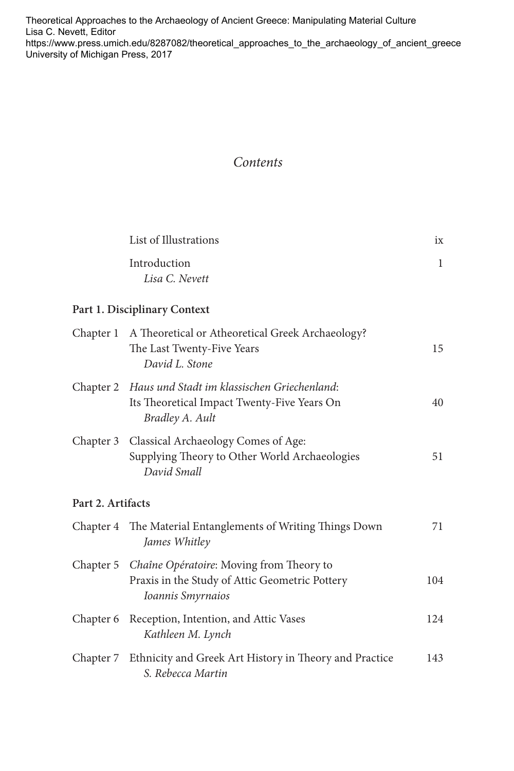Theoretical Approaches to the Archaeology of Ancient Greece: Manipulating Material Culture Lisa C. Nevett, Editor [https://www.press.umich.edu/8287082/theoretical\\_approaches\\_to\\_the\\_archaeology\\_of\\_ancient\\_greece](https://www.press.umich.edu/8287082/theoretical_approaches_to_the_archaeology_of_ancient_greece)  University of Michigan Press, 2017

## *Contents*

|                   | List of Illustrations                                                                                                   | ix  |  |  |  |
|-------------------|-------------------------------------------------------------------------------------------------------------------------|-----|--|--|--|
|                   | Introduction<br>Lisa C. Nevett                                                                                          | 1   |  |  |  |
|                   | Part 1. Disciplinary Context                                                                                            |     |  |  |  |
| Chapter 1         | A Theoretical or Atheoretical Greek Archaeology?<br>The Last Twenty-Five Years<br>David L. Stone                        | 15  |  |  |  |
|                   | Chapter 2 Haus und Stadt im klassischen Griechenland:<br>Its Theoretical Impact Twenty-Five Years On<br>Bradley A. Ault | 40  |  |  |  |
| Chapter 3         | Classical Archaeology Comes of Age:<br>Supplying Theory to Other World Archaeologies<br>David Small                     | 51  |  |  |  |
| Part 2. Artifacts |                                                                                                                         |     |  |  |  |
| Chapter 4         | The Material Entanglements of Writing Things Down<br>James Whitley                                                      | 71  |  |  |  |
| Chapter 5         | Chaîne Opératoire: Moving from Theory to<br>Praxis in the Study of Attic Geometric Pottery<br>Ioannis Smyrnaios         | 104 |  |  |  |
| Chapter 6         | Reception, Intention, and Attic Vases<br>Kathleen M. Lynch                                                              | 124 |  |  |  |
| Chapter 7         | Ethnicity and Greek Art History in Theory and Practice<br>S. Rebecca Martin                                             | 143 |  |  |  |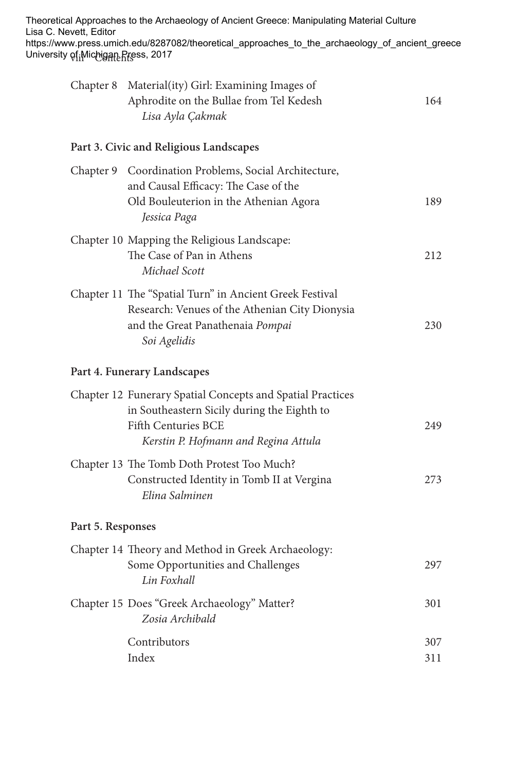| Lisa C. Nevett, Editor | Theoretical Approaches to the Archaeology of Ancient Greece: Manipulating Material Culture<br>https://www.press.umich.edu/8287082/theoretical_approaches_to_the_archaeology_of_ancient_greece<br>University of։Michigaը Press, 2017 |     |
|------------------------|-------------------------------------------------------------------------------------------------------------------------------------------------------------------------------------------------------------------------------------|-----|
|                        | Chapter 8 Material(ity) Girl: Examining Images of<br>Aphrodite on the Bullae from Tel Kedesh<br>Lisa Ayla Çakmak                                                                                                                    | 164 |
|                        | Part 3. Civic and Religious Landscapes                                                                                                                                                                                              |     |
|                        | Chapter 9 Coordination Problems, Social Architecture,<br>and Causal Efficacy: The Case of the<br>Old Bouleuterion in the Athenian Agora<br>Jessica Paga                                                                             | 189 |
|                        | Chapter 10 Mapping the Religious Landscape:<br>The Case of Pan in Athens<br>Michael Scott                                                                                                                                           | 212 |
|                        | Chapter 11 The "Spatial Turn" in Ancient Greek Festival<br>Research: Venues of the Athenian City Dionysia<br>and the Great Panathenaia Pompai<br>Soi Agelidis                                                                       | 230 |
|                        | Part 4. Funerary Landscapes                                                                                                                                                                                                         |     |
|                        | Chapter 12 Funerary Spatial Concepts and Spatial Practices<br>in Southeastern Sicily during the Eighth to<br><b>Fifth Centuries BCE</b><br>Kerstin P. Hofmann and Regina Attula                                                     | 249 |
|                        | Chapter 13 The Tomb Doth Protest Too Much?<br>Constructed Identity in Tomb II at Vergina<br>Elina Salminen                                                                                                                          | 273 |
|                        | Part 5. Responses                                                                                                                                                                                                                   |     |
|                        | Chapter 14 Theory and Method in Greek Archaeology:<br>Some Opportunities and Challenges<br>Lin Foxhall                                                                                                                              | 297 |
|                        | Chapter 15 Does "Greek Archaeology" Matter?<br>Zosia Archibald                                                                                                                                                                      | 301 |
|                        | Contributors                                                                                                                                                                                                                        | 307 |
|                        | Index                                                                                                                                                                                                                               | 311 |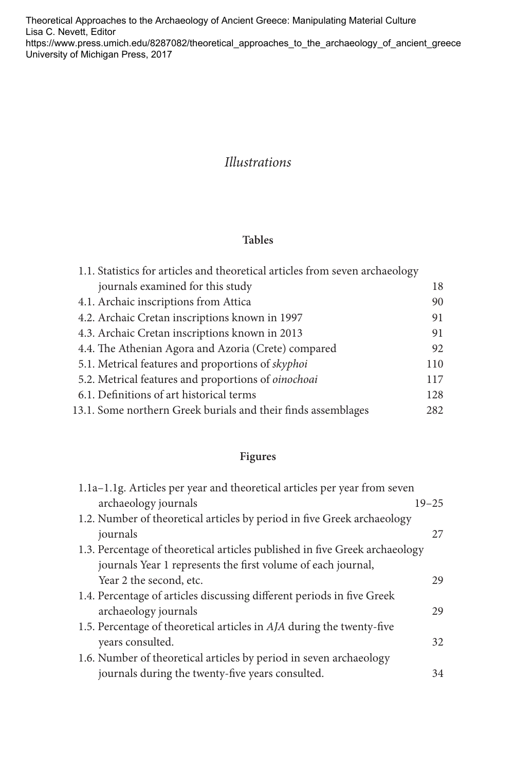Theoretical Approaches to the Archaeology of Ancient Greece: Manipulating Material Culture Lisa C. Nevett, Editor https://www.press.umich.edu/8287082/theoretical\_approaches\_to\_the\_archaeology\_of\_ancient\_greece University of Michigan Press, 2017

## *Illustrations*

## **Tables**

| 1.1. Statistics for articles and theoretical articles from seven archaeology |     |
|------------------------------------------------------------------------------|-----|
| journals examined for this study                                             | 18  |
| 4.1. Archaic inscriptions from Attica                                        | 90  |
| 4.2. Archaic Cretan inscriptions known in 1997                               | 91  |
| 4.3. Archaic Cretan inscriptions known in 2013                               | 91  |
| 4.4. The Athenian Agora and Azoria (Crete) compared                          | 92  |
| 5.1. Metrical features and proportions of skyphoi                            | 110 |
| 5.2. Metrical features and proportions of oinochoai                          | 117 |
| 6.1. Definitions of art historical terms                                     | 128 |
| 13.1. Some northern Greek burials and their finds assemblages                |     |

## **Figures**

| $19 - 25$                                                                   |
|-----------------------------------------------------------------------------|
|                                                                             |
| 27                                                                          |
| 1.3. Percentage of theoretical articles published in five Greek archaeology |
|                                                                             |
| 29                                                                          |
|                                                                             |
| 29                                                                          |
|                                                                             |
| 32                                                                          |
|                                                                             |
| 34                                                                          |
|                                                                             |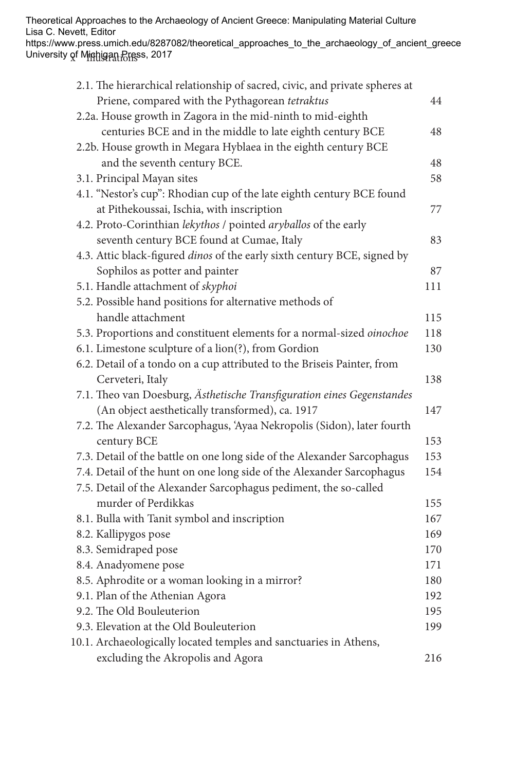Theoretical Approaches to the Archaeology of Ancient Greece: Manipulating Material Culture Lisa C. Nevett, Editor

University of Minhigan Bress, 2017 https://www.press.umich.edu/8287082/theoretical\_approaches\_to\_the\_archaeology\_of\_ancient\_greece

| 2.1. The hierarchical relationship of sacred, civic, and private spheres at |     |
|-----------------------------------------------------------------------------|-----|
| Priene, compared with the Pythagorean tetraktus                             | 44  |
| 2.2a. House growth in Zagora in the mid-ninth to mid-eighth                 |     |
| centuries BCE and in the middle to late eighth century BCE                  | 48  |
| 2.2b. House growth in Megara Hyblaea in the eighth century BCE              |     |
| and the seventh century BCE.                                                | 48  |
| 3.1. Principal Mayan sites                                                  | 58  |
| 4.1. "Nestor's cup": Rhodian cup of the late eighth century BCE found       |     |
| at Pithekoussai, Ischia, with inscription                                   | 77  |
| 4.2. Proto-Corinthian lekythos / pointed aryballos of the early             |     |
| seventh century BCE found at Cumae, Italy                                   | 83  |
| 4.3. Attic black-figured dinos of the early sixth century BCE, signed by    |     |
| Sophilos as potter and painter                                              | 87  |
| 5.1. Handle attachment of skyphoi                                           | 111 |
| 5.2. Possible hand positions for alternative methods of                     |     |
| handle attachment                                                           | 115 |
| 5.3. Proportions and constituent elements for a normal-sized oinochoe       | 118 |
| 6.1. Limestone sculpture of a lion(?), from Gordion                         | 130 |
| 6.2. Detail of a tondo on a cup attributed to the Briseis Painter, from     |     |
| Cerveteri, Italy                                                            | 138 |
| 7.1. Theo van Doesburg, Ästhetische Transfiguration eines Gegenstandes      |     |
| (An object aesthetically transformed), ca. 1917                             | 147 |
| 7.2. The Alexander Sarcophagus, 'Ayaa Nekropolis (Sidon), later fourth      |     |
| century BCE                                                                 | 153 |
| 7.3. Detail of the battle on one long side of the Alexander Sarcophagus     | 153 |
| 7.4. Detail of the hunt on one long side of the Alexander Sarcophagus       | 154 |
| 7.5. Detail of the Alexander Sarcophagus pediment, the so-called            |     |
| murder of Perdikkas                                                         | 155 |
| 8.1. Bulla with Tanit symbol and inscription                                | 167 |
| 8.2. Kallipygos pose                                                        | 169 |
| 8.3. Semidraped pose                                                        | 170 |
| 8.4. Anadyomene pose                                                        | 171 |
| 8.5. Aphrodite or a woman looking in a mirror?                              | 180 |
| 9.1. Plan of the Athenian Agora                                             | 192 |
| 9.2. The Old Bouleuterion                                                   | 195 |
| 9.3. Elevation at the Old Bouleuterion                                      | 199 |
| 10.1. Archaeologically located temples and sanctuaries in Athens,           |     |
| excluding the Akropolis and Agora                                           | 216 |